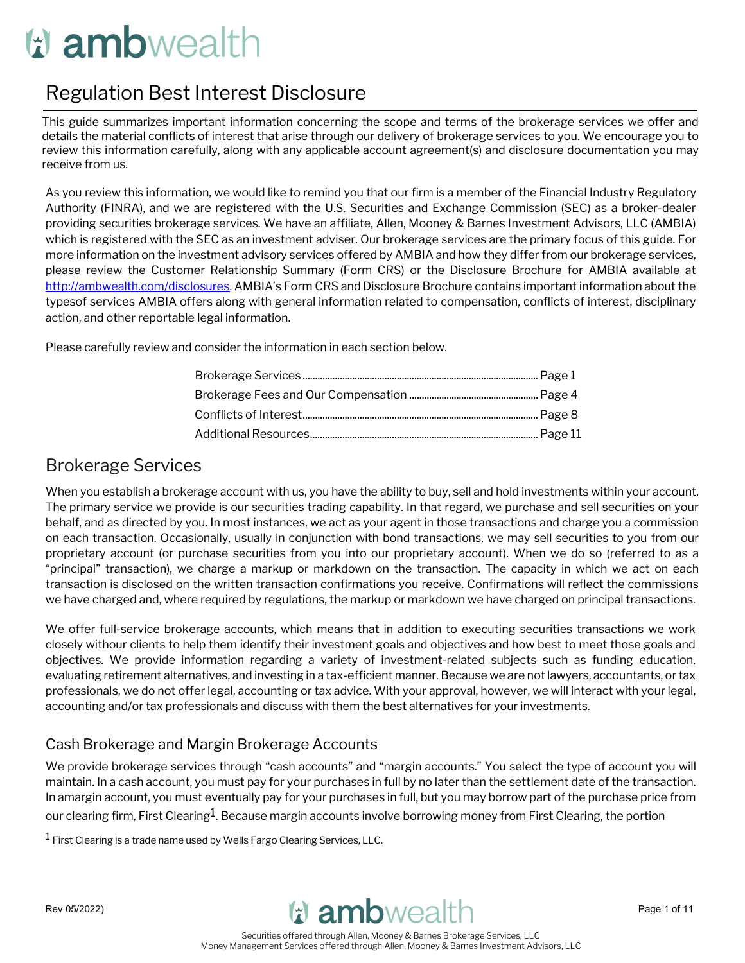# **W** ambwealth

# Regulation Best Interest Disclosure

This guide summarizes important information concerning the scope and terms of the brokerage services we offer and details the material conflicts of interest that arise through our delivery of brokerage services to you. We encourage you to review this information carefully, along with any applicable account agreement(s) and disclosure documentation you may receive from us.

As you review this information, we would like to remind you that our firm is a member of the Financial Industry Regulatory Authority (FINRA), and we are registered with the U.S. Securities and Exchange Commission (SEC) as a broker-dealer providing securities brokerage services. We have an affiliate, Allen, Mooney & Barnes Investment Advisors, LLC (AMBIA) which is registered with the SEC as an investment adviser. Our brokerage services are the primary focus of this guide. For more information on the investment advisory services offered by AMBIA and how they differ from our brokerage services, please review the Customer Relationship Summary (Form CRS) or the Disclosure Brochure for AMBIA available at [http://ambwealth.com/disclosures.](http://ambwealth.com/disclosures) AMBIA's Form CRS and Disclosure Brochure contains important information about the typesof services AMBIA offers along with general information related to compensation, conflicts of interest, disciplinary action, and other reportable legal information.

Please carefully review and consider the information in each section below.

# Brokerage Services

When you establish a brokerage account with us, you have the ability to buy, sell and hold investments within your account. The primary service we provide is our securities trading capability. In that regard, we purchase and sell securities on your behalf, and as directed by you. In most instances, we act as your agent in those transactions and charge you a commission on each transaction. Occasionally, usually in conjunction with bond transactions, we may sell securities to you from our proprietary account (or purchase securities from you into our proprietary account). When we do so (referred to as a "principal" transaction), we charge a markup or markdown on the transaction. The capacity in which we act on each transaction is disclosed on the written transaction confirmations you receive. Confirmations will reflect the commissions we have charged and, where required by regulations, the markup or markdown we have charged on principal transactions.

We offer full-service brokerage accounts, which means that in addition to executing securities transactions we work closely withour clients to help them identify their investment goals and objectives and how best to meet those goals and objectives. We provide information regarding a variety of investment-related subjects such as funding education, evaluating retirement alternatives, and investing in a tax-efficient manner. Because we are not lawyers, accountants, or tax professionals, we do not offer legal, accounting or tax advice. With your approval, however, we will interact with your legal, accounting and/or tax professionals and discuss with them the best alternatives for your investments.

# Cash Brokerage and Margin Brokerage Accounts

We provide brokerage services through "cash accounts" and "margin accounts." You select the type of account you will maintain. In a cash account, you must pay for your purchases in full by no later than the settlement date of the transaction. In amargin account, you must eventually pay for your purchases in full, but you may borrow part of the purchase price from our clearing firm, First Clearing<sup>1</sup>. Because margin accounts involve borrowing money from First Clearing, the portion

 $1$  First Clearing is a trade name used by Wells Fargo Clearing Services, LLC.

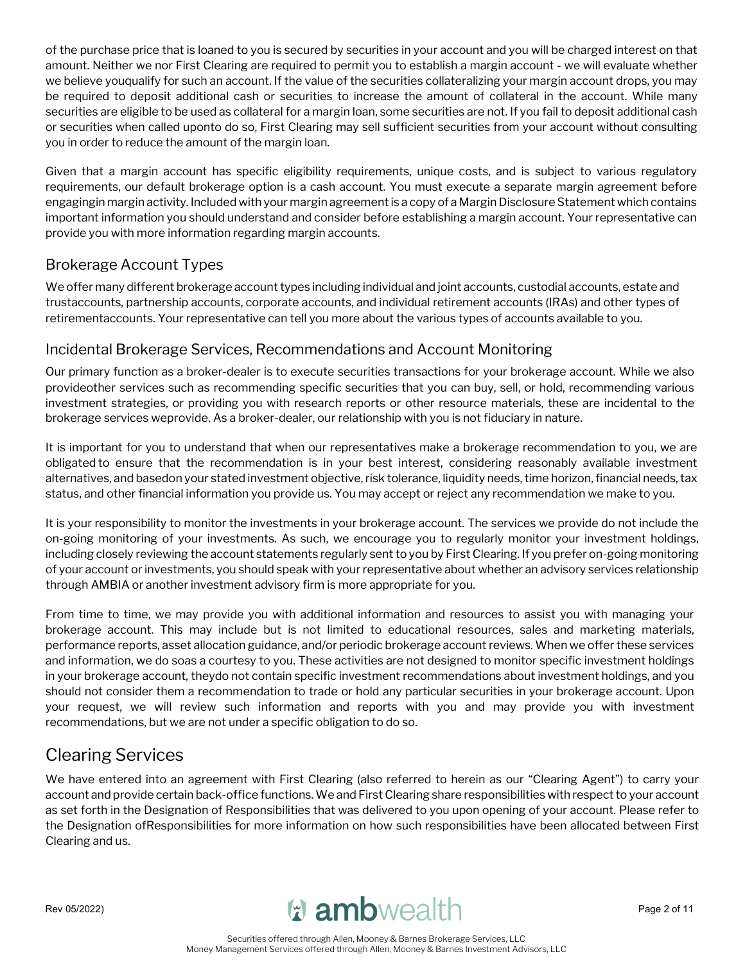of the purchase price that is loaned to you is secured by securities in your account and you will be charged interest on that amount. Neither we nor First Clearing are required to permit you to establish a margin account - we will evaluate whether we believe youqualify for such an account. If the value of the securities collateralizing your margin account drops, you may be required to deposit additional cash or securities to increase the amount of collateral in the account. While many securities are eligible to be used as collateral for a margin loan, some securities are not. If you fail to deposit additional cash or securities when called uponto do so, First Clearing may sell sufficient securities from your account without consulting you in order to reduce the amount of the margin loan.

Given that a margin account has specific eligibility requirements, unique costs, and is subject to various regulatory requirements, our default brokerage option is a cash account. You must execute a separate margin agreement before engagingin margin activity. Included with your margin agreement is a copy of a Margin Disclosure Statement which contains important information you should understand and consider before establishing a margin account. Your representative can provide you with more information regarding margin accounts.

# Brokerage Account Types

We offer many different brokerage account types including individual and joint accounts, custodial accounts, estate and trustaccounts, partnership accounts, corporate accounts, and individual retirement accounts (IRAs) and other types of retirementaccounts. Your representative can tell you more about the various types of accounts available to you.

# Incidental Brokerage Services, Recommendations and Account Monitoring

Our primary function as a broker-dealer is to execute securities transactions for your brokerage account. While we also provideother services such as recommending specific securities that you can buy, sell, or hold, recommending various investment strategies, or providing you with research reports or other resource materials, these are incidental to the brokerage services weprovide. As a broker-dealer, our relationship with you is not fiduciary in nature.

It is important for you to understand that when our representatives make a brokerage recommendation to you, we are obligated to ensure that the recommendation is in your best interest, considering reasonably available investment alternatives, and basedon your stated investment objective, risk tolerance, liquidity needs, time horizon, financial needs, tax status, and other financial information you provide us. You may accept or reject any recommendation we make to you.

It is your responsibility to monitor the investments in your brokerage account. The services we provide do not include the on-going monitoring of your investments. As such, we encourage you to regularly monitor your investment holdings, including closely reviewing the account statements regularly sent to you by First Clearing. If you prefer on-going monitoring of your account or investments, you should speak with your representative about whether an advisory services relationship through AMBIA or another investment advisory firm is more appropriate for you.

From time to time, we may provide you with additional information and resources to assist you with managing your brokerage account. This may include but is not limited to educational resources, sales and marketing materials, performance reports, asset allocation guidance, and/or periodic brokerage account reviews. When we offer these services and information, we do soas a courtesy to you. These activities are not designed to monitor specific investment holdings in your brokerage account, theydo not contain specific investment recommendations about investment holdings, and you should not consider them a recommendation to trade or hold any particular securities in your brokerage account. Upon your request, we will review such information and reports with you and may provide you with investment recommendations, but we are not under a specific obligation to do so.

# Clearing Services

We have entered into an agreement with First Clearing (also referred to herein as our "Clearing Agent") to carry your account and provide certain back-office functions. We and First Clearing share responsibilities with respect to your account as set forth in the Designation of Responsibilities that was delivered to you upon opening of your account. Please refer to the Designation ofResponsibilities for more information on how such responsibilities have been allocated between First Clearing and us.

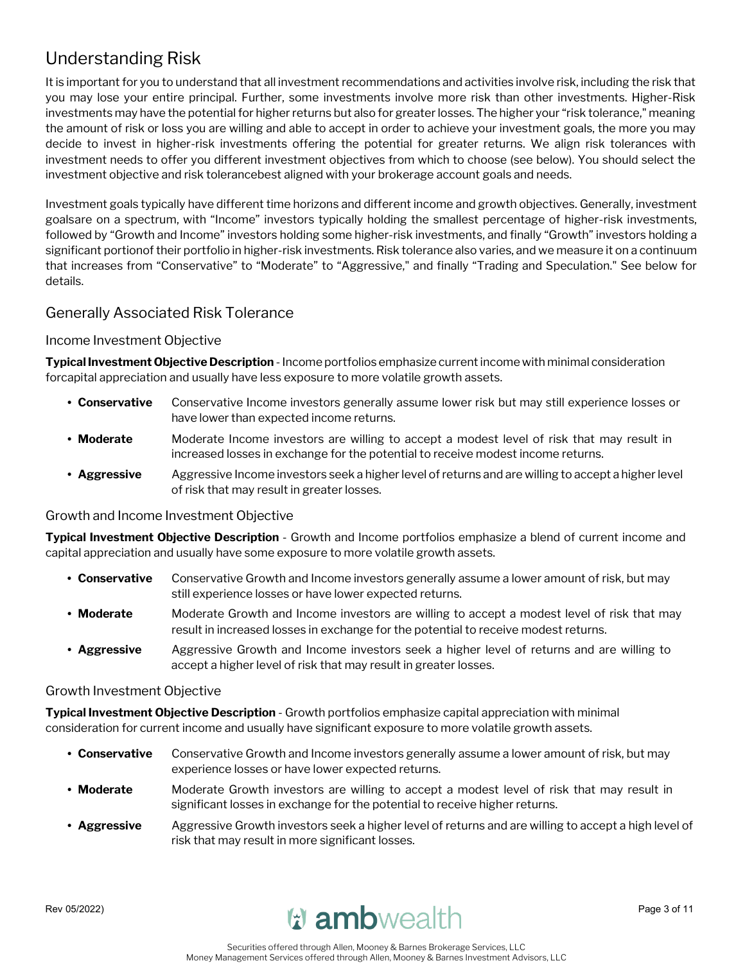# Understanding Risk

It is important for you to understand that all investment recommendations and activities involve risk, including the risk that you may lose your entire principal. Further, some investments involve more risk than other investments. Higher-Risk investments may have the potential for higher returns but also for greater losses. The higher your "risk tolerance," meaning the amount of risk or loss you are willing and able to accept in order to achieve your investment goals, the more you may decide to invest in higher-risk investments offering the potential for greater returns. We align risk tolerances with investment needs to offer you different investment objectives from which to choose (see below). You should select the investment objective and risk tolerancebest aligned with your brokerage account goals and needs.

Investment goals typically have different time horizons and different income and growth objectives. Generally, investment goalsare on a spectrum, with "Income" investors typically holding the smallest percentage of higher-risk investments, followed by "Growth and Income" investors holding some higher-risk investments, and finally "Growth" investors holding a significant portionof their portfolio in higher-risk investments. Risk tolerance also varies, and we measure it on a continuum that increases from "Conservative" to "Moderate" to "Aggressive," and finally "Trading and Speculation." See below for details.

## Generally Associated Risk Tolerance

#### Income Investment Objective

**Typical Investment Objective Description** -Income portfolios emphasize current income with minimal consideration forcapital appreciation and usually have less exposure to more volatile growth assets.

- **• Conservative** Conservative Income investors generally assume lower risk but may still experience losses or have lower than expected income returns.
- **• Moderate** Moderate Income investors are willing to accept a modest level of risk that may result in increased losses in exchange for the potential to receive modest income returns.
- Aggressive Aggressive Income investors seek a higher level of returns and are willing to accept a higher level of risk that may result in greater losses.

#### Growth and Income Investment Objective

**Typical Investment Objective Description** - Growth and Income portfolios emphasize a blend of current income and capital appreciation and usually have some exposure to more volatile growth assets.

- **• Conservative** Conservative Growth and Income investors generally assume a lower amount of risk, but may still experience losses or have lower expected returns.
- **• Moderate** Moderate Growth and Income investors are willing to accept a modest level of risk that may result in increased losses in exchange for the potential to receive modest returns.
- **• Aggressive** Aggressive Growth and Income investors seek a higher level of returns and are willing to accept a higher level of risk that may result in greater losses.

#### Growth Investment Objective

**Typical Investment Objective Description** - Growth portfolios emphasize capital appreciation with minimal consideration for current income and usually have significant exposure to more volatile growth assets.

- **• Conservative** Conservative Growth and Income investors generally assume a lower amount of risk, but may experience losses or have lower expected returns.
- **• Moderate** Moderate Growth investors are willing to accept a modest level of risk that may result in significant losses in exchange for the potential to receive higher returns.
- **• Aggressive** Aggressive Growth investors seek a higher level of returns and are willing to accept a high level of risk that may result in more significant losses.

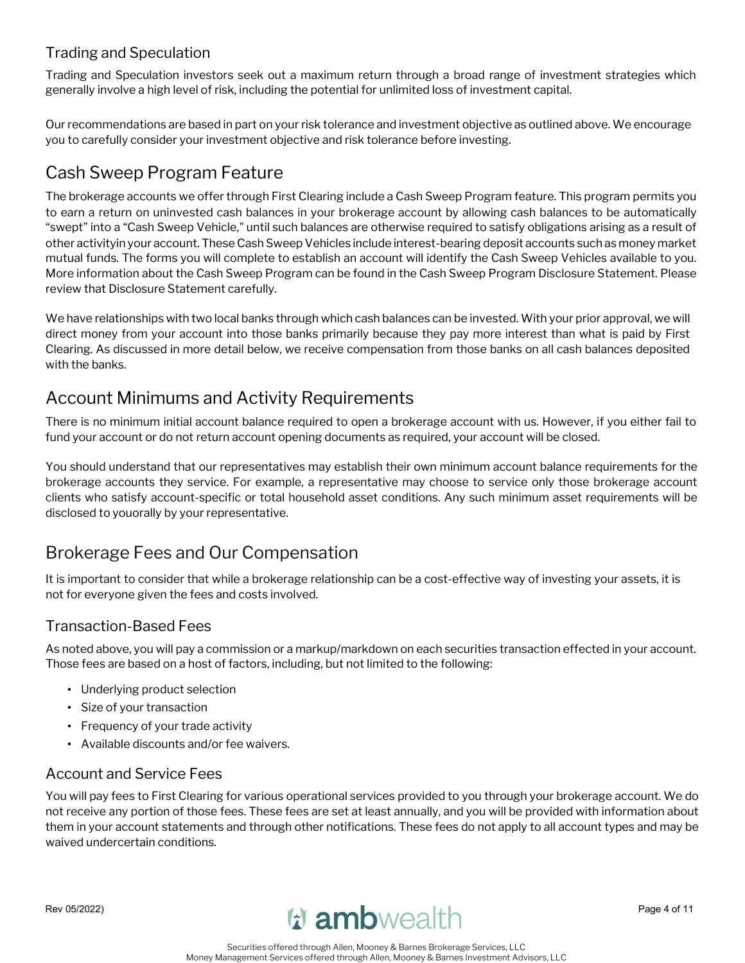# Trading and Speculation

Trading and Speculation investors seek out a maximum return through a broad range of investment strategies which generally involve a high level of risk, including the potential for unlimited loss of investment capital.

Ourrecommendations are based in part on yourrisk tolerance and investment objective as outlined above. We encourage you to carefully consider your investment objective and risk tolerance before investing.

# Cash Sweep Program Feature

The brokerage accounts we offer through First Clearing include a Cash Sweep Program feature. This program permits you to earn a return on uninvested cash balances in your brokerage account by allowing cash balances to be automatically "swept" into a "Cash Sweep Vehicle," until such balances are otherwise required to satisfy obligations arising as a result of other activityin your account. These Cash Sweep Vehicles include interest-bearing deposit accounts such as money market mutual funds. The forms you will complete to establish an account will identify the Cash Sweep Vehicles available to you. More information about the Cash Sweep Program can be found in the Cash Sweep Program Disclosure Statement. Please review that Disclosure Statement carefully.

We have relationships with two local banks through which cash balances can be invested. With your prior approval, we will direct money from your account into those banks primarily because they pay more interest than what is paid by First Clearing. As discussed in more detail below, we receive compensation from those banks on all cash balances deposited with the banks.

# Account Minimums and Activity Requirements

There is no minimum initial account balance required to open a brokerage account with us. However, if you either fail to fund your account or do not return account opening documents as required, your account will be closed.

You should understand that our representatives may establish their own minimum account balance requirements for the brokerage accounts they service. For example, a representative may choose to service only those brokerage account clients who satisfy account-specific or total household asset conditions. Any such minimum asset requirements will be disclosed to youorally by your representative.

# Brokerage Fees and Our Compensation

It is important to consider that while a brokerage relationship can be a cost-effective way of investing your assets, it is not for everyone given the fees and costs involved.

# Transaction-Based Fees

As noted above, you will pay a commission or a markup/markdown on each securities transaction effected in your account. Those fees are based on a host of factors, including, but not limited to the following:

- Underlying product selection
- Size of your transaction
- Frequency of your trade activity
- Available discounts and/or fee waivers.

# Account and Service Fees

You will pay fees to First Clearing for various operational services provided to you through your brokerage account. We do not receive any portion of those fees. These fees are set at least annually, and you will be provided with information about them in your account statements and through other notifications. These fees do not apply to all account types and may be waived undercertain conditions.

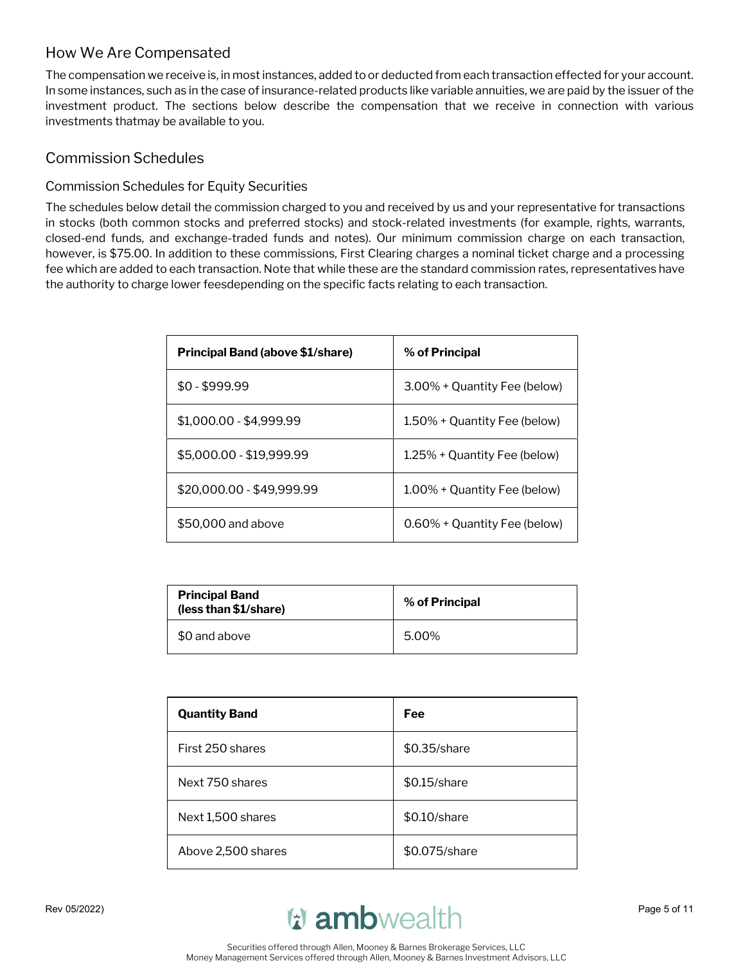# How We Are Compensated

The compensation we receive is, in most instances, added to or deducted from each transaction effected for your account. In some instances, such as in the case of insurance-related products like variable annuities, we are paid by the issuer of the investment product. The sections below describe the compensation that we receive in connection with various investments thatmay be available to you.

## Commission Schedules

## Commission Schedules for Equity Securities

The schedules below detail the commission charged to you and received by us and your representative for transactions in stocks (both common stocks and preferred stocks) and stock-related investments (for example, rights, warrants, closed-end funds, and exchange-traded funds and notes). Our minimum commission charge on each transaction, however, is \$75.00. In addition to these commissions, First Clearing charges a nominal ticket charge and a processing fee which are added to each transaction. Note that while these are the standard commission rates, representatives have the authority to charge lower feesdepending on the specific facts relating to each transaction.

| <b>Principal Band (above \$1/share)</b> | % of Principal               |
|-----------------------------------------|------------------------------|
| $$0 - $999.99$                          | 3.00% + Quantity Fee (below) |
| \$1,000.00 - \$4,999.99                 | 1.50% + Quantity Fee (below) |
| \$5,000.00 - \$19,999.99                | 1.25% + Quantity Fee (below) |
| \$20,000.00 - \$49,999.99               | 1.00% + Quantity Fee (below) |
| \$50,000 and above                      | 0.60% + Quantity Fee (below) |

| <b>Principal Band</b><br>(less than \$1/share) | % of Principal |
|------------------------------------------------|----------------|
| \$0 and above                                  | 5.00%          |

| <b>Quantity Band</b> | Fee           |
|----------------------|---------------|
| First 250 shares     | \$0.35/share  |
| Next 750 shares      | \$0.15/share  |
| Next 1,500 shares    | \$0.10/share  |
| Above 2,500 shares   | \$0.075/share |

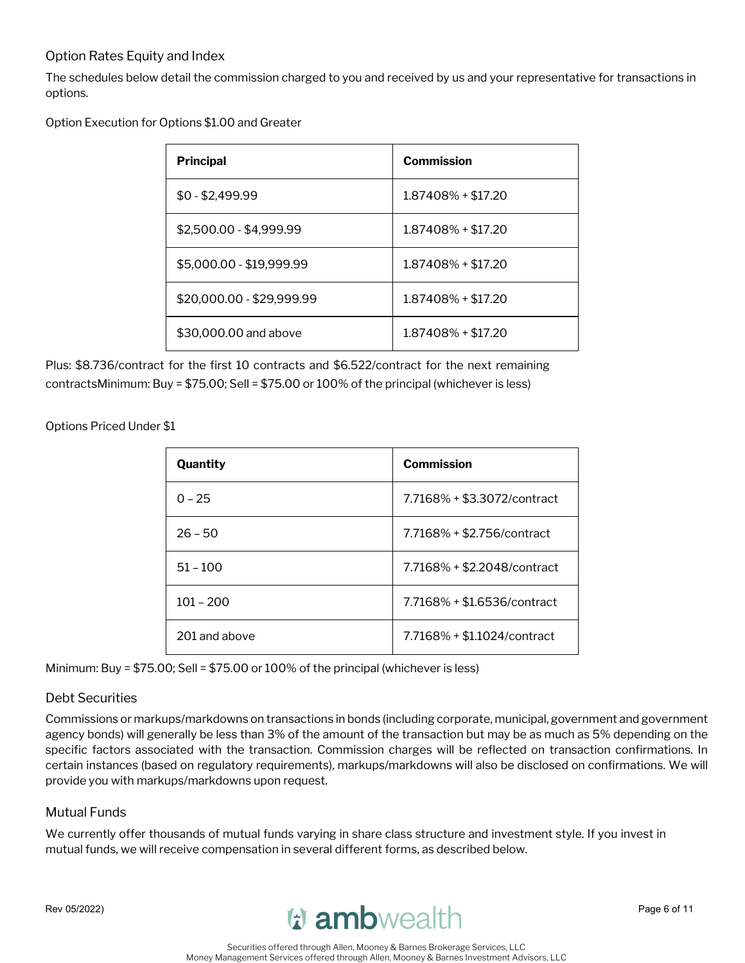## Option Rates Equity and Index

The schedules below detail the commission charged to you and received by us and your representative for transactions in options.

Option Execution for Options \$1.00 and Greater

| <b>Principal</b>          | <b>Commission</b>    |
|---------------------------|----------------------|
| $$0 - $2,499.99$          | 1.87408% + \$17.20   |
| \$2,500.00 - \$4,999.99   | $1.87408\% + $17.20$ |
| \$5,000.00 - \$19,999.99  | $1.87408\% + $17.20$ |
| \$20,000.00 - \$29,999.99 | $1.87408\% + $17.20$ |
| \$30,000.00 and above     | $1.87408\% + $17.20$ |

Plus: \$8.736/contract for the first 10 contracts and \$6.522/contract for the next remaining contractsMinimum: Buy = \$75.00; Sell = \$75.00 or 100% of the principal (whichever is less)

Options Priced Under \$1

| Quantity      | Commission                  |
|---------------|-----------------------------|
| $0 - 25$      | 7.7168% + \$3.3072/contract |
| $26 - 50$     | 7.7168% + \$2.756/contract  |
| $51 - 100$    | 7.7168% + \$2.2048/contract |
| $101 - 200$   | 7.7168% + \$1.6536/contract |
| 201 and above | 7.7168% + \$1.1024/contract |

Minimum: Buy = \$75.00; Sell = \$75.00 or 100% of the principal (whichever is less)

#### Debt Securities

Commissions or markups/markdowns on transactions in bonds (including corporate, municipal, government and government agency bonds) will generally be less than 3% of the amount of the transaction but may be as much as 5% depending on the specific factors associated with the transaction. Commission charges will be reflected on transaction confirmations. In certain instances (based on regulatory requirements), markups/markdowns will also be disclosed on confirmations. We will provide you with markups/markdowns upon request.

## Mutual Funds

We currently offer thousands of mutual funds varying in share class structure and investment style. If you invest in mutual funds, we will receive compensation in several different forms, as described below.

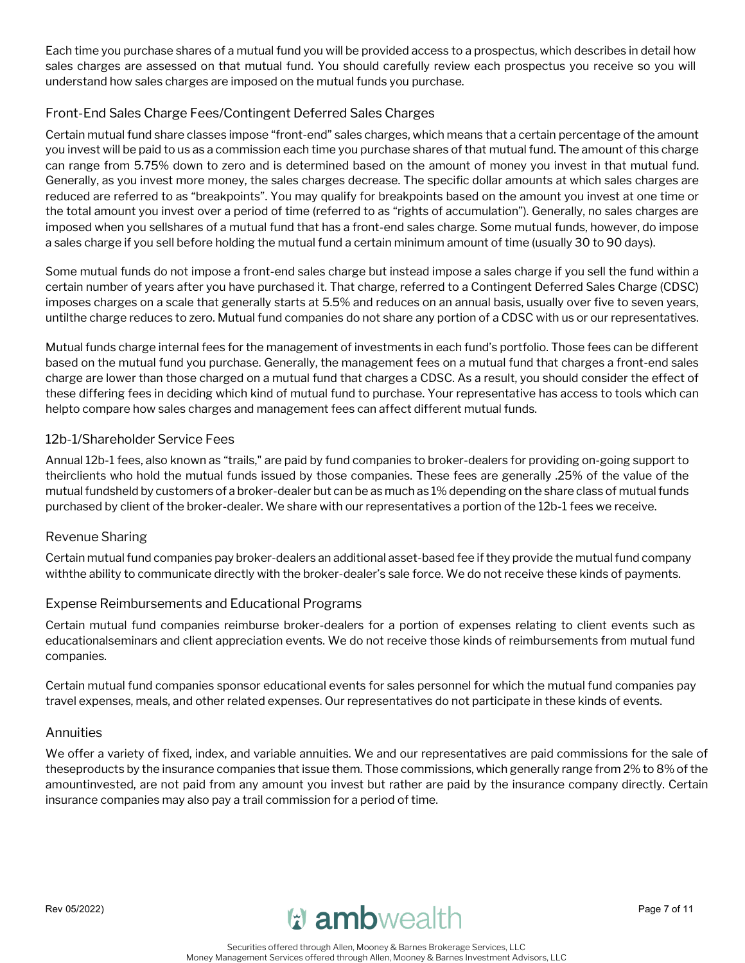Each time you purchase shares of a mutual fund you will be provided access to a prospectus, which describes in detail how sales charges are assessed on that mutual fund. You should carefully review each prospectus you receive so you will understand how sales charges are imposed on the mutual funds you purchase.

## Front-End Sales Charge Fees/Contingent Deferred Sales Charges

Certain mutual fund share classes impose "front-end" sales charges, which means that a certain percentage of the amount you invest will be paid to us as a commission each time you purchase shares of that mutual fund. The amount of this charge can range from 5.75% down to zero and is determined based on the amount of money you invest in that mutual fund. Generally, as you invest more money, the sales charges decrease. The specific dollar amounts at which sales charges are reduced are referred to as "breakpoints". You may qualify for breakpoints based on the amount you invest at one time or the total amount you invest over a period of time (referred to as "rights of accumulation"). Generally, no sales charges are imposed when you sellshares of a mutual fund that has a front-end sales charge. Some mutual funds, however, do impose a sales charge if you sell before holding the mutual fund a certain minimum amount of time (usually 30 to 90 days).

Some mutual funds do not impose a front-end sales charge but instead impose a sales charge if you sell the fund within a certain number of years after you have purchased it. That charge, referred to a Contingent Deferred Sales Charge (CDSC) imposes charges on a scale that generally starts at 5.5% and reduces on an annual basis, usually over five to seven years, untilthe charge reduces to zero. Mutual fund companies do not share any portion of a CDSC with us or our representatives.

Mutual funds charge internal fees for the management of investments in each fund's portfolio. Those fees can be different based on the mutual fund you purchase. Generally, the management fees on a mutual fund that charges a front-end sales charge are lower than those charged on a mutual fund that charges a CDSC. As a result, you should consider the effect of these differing fees in deciding which kind of mutual fund to purchase. Your representative has access to tools which can helpto compare how sales charges and management fees can affect different mutual funds.

#### 12b-1/Shareholder Service Fees

Annual 12b-1 fees, also known as "trails," are paid by fund companies to broker-dealers for providing on-going support to theirclients who hold the mutual funds issued by those companies. These fees are generally .25% of the value of the mutual fundsheld by customers of a broker-dealer but can be as much as 1% depending on the share class of mutual funds purchased by client of the broker-dealer. We share with our representatives a portion of the 12b-1 fees we receive.

#### Revenue Sharing

Certain mutual fund companies pay broker-dealers an additional asset-based fee if they provide the mutual fund company withthe ability to communicate directly with the broker-dealer's sale force. We do not receive these kinds of payments.

#### Expense Reimbursements and Educational Programs

Certain mutual fund companies reimburse broker-dealers for a portion of expenses relating to client events such as educationalseminars and client appreciation events. We do not receive those kinds of reimbursements from mutual fund companies.

Certain mutual fund companies sponsor educational events for sales personnel for which the mutual fund companies pay travel expenses, meals, and other related expenses. Our representatives do not participate in these kinds of events.

#### Annuities

We offer a variety of fixed, index, and variable annuities. We and our representatives are paid commissions for the sale of theseproducts by the insurance companies that issue them. Those commissions, which generally range from 2% to 8% of the amountinvested, are not paid from any amount you invest but rather are paid by the insurance company directly. Certain insurance companies may also pay a trail commission for a period of time.

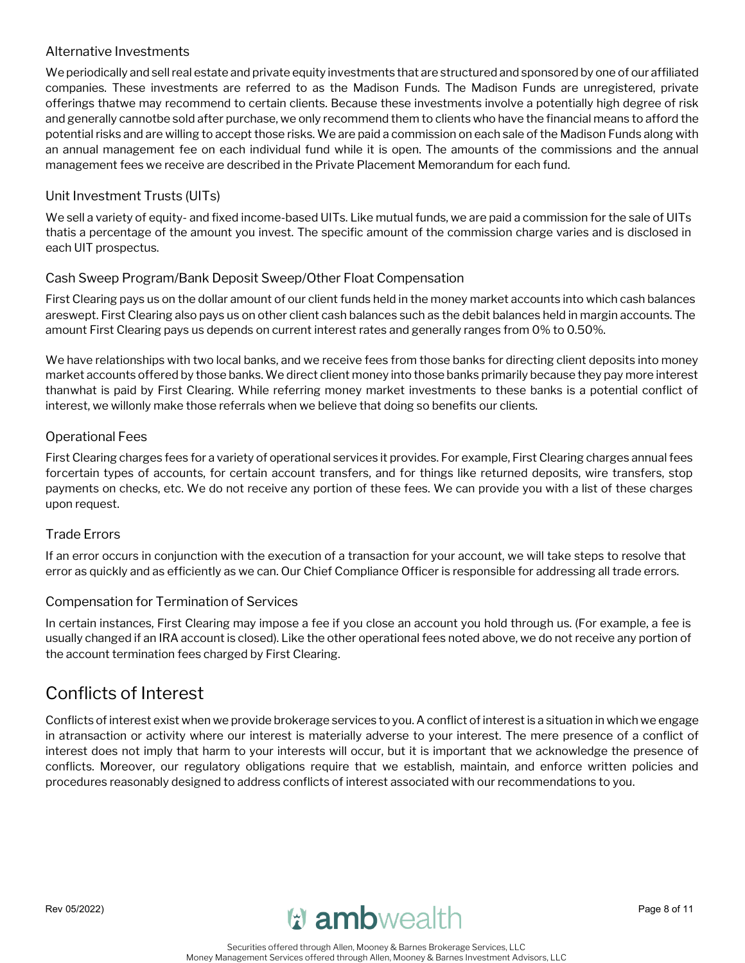#### Alternative Investments

We periodically and sell real estate and private equity investments that are structured and sponsored by one of our affiliated companies. These investments are referred to as the Madison Funds. The Madison Funds are unregistered, private offerings thatwe may recommend to certain clients. Because these investments involve a potentially high degree of risk and generally cannotbe sold after purchase, we only recommend them to clients who have the financial means to afford the potential risks and are willing to accept those risks. We are paid a commission on each sale of the Madison Funds along with an annual management fee on each individual fund while it is open. The amounts of the commissions and the annual management fees we receive are described in the Private Placement Memorandum for each fund.

## Unit Investment Trusts (UITs)

We sell a variety of equity- and fixed income-based UITs. Like mutual funds, we are paid a commission for the sale of UITs thatis a percentage of the amount you invest. The specific amount of the commission charge varies and is disclosed in each UIT prospectus.

#### Cash Sweep Program/Bank Deposit Sweep/Other Float Compensation

First Clearing pays us on the dollar amount of our client funds held in the money market accounts into which cash balances areswept. First Clearing also pays us on other client cash balances such as the debit balances held in margin accounts. The amount First Clearing pays us depends on current interest rates and generally ranges from 0% to 0.50%.

We have relationships with two local banks, and we receive fees from those banks for directing client deposits into money market accounts offered by those banks. We direct client money into those banks primarily because they pay more interest thanwhat is paid by First Clearing. While referring money market investments to these banks is a potential conflict of interest, we willonly make those referrals when we believe that doing so benefits our clients.

#### Operational Fees

First Clearing charges fees for a variety of operational services it provides. For example, First Clearing charges annual fees forcertain types of accounts, for certain account transfers, and for things like returned deposits, wire transfers, stop payments on checks, etc. We do not receive any portion of these fees. We can provide you with a list of these charges upon request.

#### Trade Errors

If an error occurs in conjunction with the execution of a transaction for your account, we will take steps to resolve that error as quickly and as efficiently as we can. Our Chief Compliance Officer is responsible for addressing all trade errors.

#### Compensation for Termination of Services

In certain instances, First Clearing may impose a fee if you close an account you hold through us. (For example, a fee is usually changed if an IRA account is closed). Like the other operational fees noted above, we do not receive any portion of the account termination fees charged by First Clearing.

# Conflicts of Interest

Conflicts ofinterest exist when we provide brokerage services to you. A conflict of interestis a situation in which we engage in atransaction or activity where our interest is materially adverse to your interest. The mere presence of a conflict of interest does not imply that harm to your interests will occur, but it is important that we acknowledge the presence of conflicts. Moreover, our regulatory obligations require that we establish, maintain, and enforce written policies and procedures reasonably designed to address conflicts of interest associated with our recommendations to you.

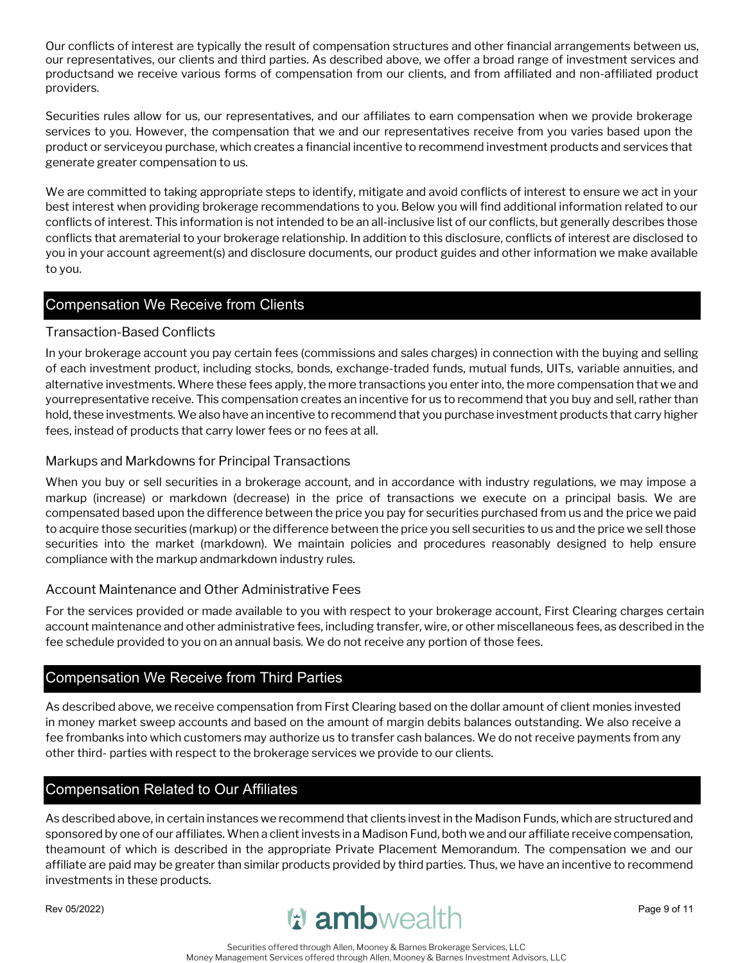Our conflicts of interest are typically the result of compensation structures and other financial arrangements between us, our representatives, our clients and third parties. As described above, we offer a broad range of investment services and productsand we receive various forms of compensation from our clients, and from affiliated and non-affiliated product providers.

Securities rules allow for us, our representatives, and our affiliates to earn compensation when we provide brokerage services to you. However, the compensation that we and our representatives receive from you varies based upon the product or serviceyou purchase, which creates a financial incentive to recommend investment products and services that generate greater compensation to us.

We are committed to taking appropriate steps to identify, mitigate and avoid conflicts of interest to ensure we act in your best interest when providing brokerage recommendations to you. Below you will find additional information related to our conflicts of interest. This information is not intended to be an all-inclusive list of our conflicts, but generally describes those conflicts that arematerial to your brokerage relationship. In addition to this disclosure, conflicts of interest are disclosed to you in your account agreement(s) and disclosure documents, our product guides and other information we make available to you.

## Compensation We Receive from Clients

#### Transaction-Based Conflicts

In your brokerage account you pay certain fees (commissions and sales charges) in connection with the buying and selling of each investment product, including stocks, bonds, exchange-traded funds, mutual funds, UITs, variable annuities, and alternative investments. Where these fees apply, the more transactions you enter into, the more compensation that we and yourrepresentative receive. This compensation creates an incentive for us to recommend that you buy and sell, rather than hold, these investments. We also have an incentive to recommend that you purchase investment products that carry higher fees, instead of products that carry lower fees or no fees at all.

#### Markups and Markdowns for Principal Transactions

When you buy or sell securities in a brokerage account, and in accordance with industry regulations, we may impose a markup (increase) or markdown (decrease) in the price of transactions we execute on a principal basis. We are compensated based upon the difference between the price you pay for securities purchased from us and the price we paid to acquire those securities (markup) or the difference between the price you sell securities to us and the price we sell those securities into the market (markdown). We maintain policies and procedures reasonably designed to help ensure compliance with the markup andmarkdown industry rules.

#### Account Maintenance and Other Administrative Fees

For the services provided or made available to you with respect to your brokerage account, First Clearing charges certain account maintenance and other administrative fees, including transfer, wire, or other miscellaneous fees, as described in the fee schedule provided to you on an annual basis. We do not receive any portion of those fees.

## Compensation We Receive from Third Parties

As described above, we receive compensation from First Clearing based on the dollar amount of client monies invested in money market sweep accounts and based on the amount of margin debits balances outstanding. We also receive a fee frombanks into which customers may authorize us to transfer cash balances. We do not receive payments from any other third- parties with respect to the brokerage services we provide to our clients.

#### Compensation Related to Our Affiliates

As described above, in certain instances we recommend that clients invest in the Madison Funds, which are structured and sponsored by one of our affiliates. When a client invests in a Madison Fund, both we and our affiliate receive compensation, theamount of which is described in the appropriate Private Placement Memorandum. The compensation we and our affiliate are paid may be greater than similar products provided by third parties. Thus, we have an incentive to recommend investments in these products.

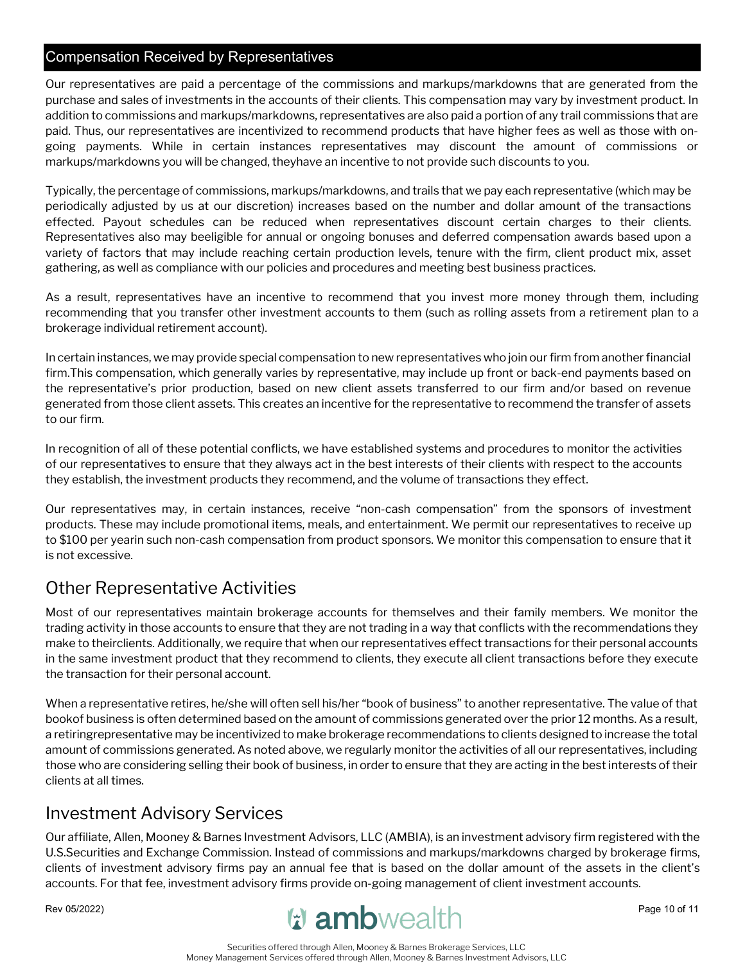## Compensation Received by Representatives

Our representatives are paid a percentage of the commissions and markups/markdowns that are generated from the purchase and sales of investments in the accounts of their clients. This compensation may vary by investment product. In addition to commissions and markups/markdowns, representatives are also paid a portion of any trail commissions that are paid. Thus, our representatives are incentivized to recommend products that have higher fees as well as those with ongoing payments. While in certain instances representatives may discount the amount of commissions or markups/markdowns you will be changed, theyhave an incentive to not provide such discounts to you.

Typically, the percentage of commissions, markups/markdowns, and trails that we pay each representative (which may be periodically adjusted by us at our discretion) increases based on the number and dollar amount of the transactions effected. Payout schedules can be reduced when representatives discount certain charges to their clients. Representatives also may beeligible for annual or ongoing bonuses and deferred compensation awards based upon a variety of factors that may include reaching certain production levels, tenure with the firm, client product mix, asset gathering, as well as compliance with our policies and procedures and meeting best business practices.

As a result, representatives have an incentive to recommend that you invest more money through them, including recommending that you transfer other investment accounts to them (such as rolling assets from a retirement plan to a brokerage individual retirement account).

In certain instances, we may provide special compensation to new representatives who join our firm from another financial firm.This compensation, which generally varies by representative, may include up front or back-end payments based on the representative's prior production, based on new client assets transferred to our firm and/or based on revenue generated from those client assets. This creates an incentive for the representative to recommend the transfer of assets to our firm.

In recognition of all of these potential conflicts, we have established systems and procedures to monitor the activities of our representatives to ensure that they always act in the best interests of their clients with respect to the accounts they establish, the investment products they recommend, and the volume of transactions they effect.

Our representatives may, in certain instances, receive "non-cash compensation" from the sponsors of investment products. These may include promotional items, meals, and entertainment. We permit our representatives to receive up to \$100 per yearin such non-cash compensation from product sponsors. We monitor this compensation to ensure that it is not excessive.

# Other Representative Activities

Most of our representatives maintain brokerage accounts for themselves and their family members. We monitor the trading activity in those accounts to ensure that they are not trading in a way that conflicts with the recommendations they make to theirclients. Additionally, we require that when our representatives effect transactions for their personal accounts in the same investment product that they recommend to clients, they execute all client transactions before they execute the transaction for their personal account.

When a representative retires, he/she will often sell his/her "book of business" to another representative. The value of that bookof business is often determined based on the amount of commissions generated over the prior 12 months. As a result, a retiringrepresentative may be incentivized to make brokerage recommendations to clients designed to increase the total amount of commissions generated. As noted above, we regularly monitor the activities of all our representatives, including those who are considering selling their book of business, in order to ensure that they are acting in the best interests of their clients at all times.

# Investment Advisory Services

Our affiliate, Allen, Mooney & Barnes Investment Advisors, LLC (AMBIA), is an investment advisory firm registered with the U.S.Securities and Exchange Commission. Instead of commissions and markups/markdowns charged by brokerage firms, clients of investment advisory firms pay an annual fee that is based on the dollar amount of the assets in the client's accounts. For that fee, investment advisory firms provide on-going management of client investment accounts.